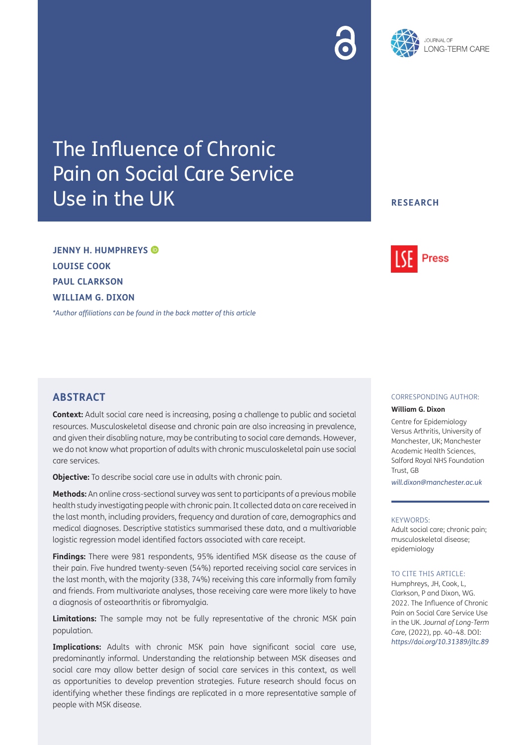# The Influence of Chronic Pain on Social Care Service Use in the UK

### **ABSTRACT**

**JENNY H. HUMPHREYS**

**LOUISE COOK PAUL CLARKSON WILLIAM G. DIXON**

**Context:** Adult social care need is increasing, posing a challenge to public and societal resources. Musculoskeletal disease and chronic pain are also increasing in prevalence, and given their disabling nature, may be contributing to social care demands. However, we do not know what proportion of adults with chronic musculoskeletal pain use social care services.

**Objective:** To describe social care use in adults with chronic pain.

*[\\*Author affiliations can be found in the back matter of this article](#page-6-0)*

**Methods:** An online cross-sectional survey was sent to participants of a previous mobile health study investigating people with chronic pain. It collected data on care received in the last month, including providers, frequency and duration of care, demographics and medical diagnoses. Descriptive statistics summarised these data, and a multivariable logistic regression model identified factors associated with care receipt.

**Findings:** There were 981 respondents, 95% identified MSK disease as the cause of their pain. Five hundred twenty-seven (54%) reported receiving social care services in the last month, with the majority (338, 74%) receiving this care informally from family and friends. From multivariate analyses, those receiving care were more likely to have a diagnosis of osteoarthritis or fibromyalgia.

**Limitations:** The sample may not be fully representative of the chronic MSK pain population.

**Implications:** Adults with chronic MSK pain have significant social care use, predominantly informal. Understanding the relationship between MSK diseases and social care may allow better design of social care services in this context, as well as opportunities to develop prevention strategies. Future research should focus on identifying whether these findings are replicated in a more representative sample of people with MSK disease.

### CORRESPONDING AUTHOR:

**Press** 

#### **William G. Dixon**

Centre for Epidemiology Versus Arthritis, University of Manchester, UK; Manchester Academic Health Sciences, Salford Royal NHS Foundation Trust, GB

*[will.dixon@manchester.ac.uk](mailto:will.dixon@manchester.ac.uk)*

#### KEYWORDS:

Adult social care; chronic pain; musculoskeletal disease; epidemiology

#### TO CITE THIS ARTICLE:

Humphreys, JH, Cook, L, Clarkson, P and Dixon, WG. 2022. The Influence of Chronic Pain on Social Care Service Use in the UK. *Journal of Long-Term Care,* (2022), pp. 40–48. DOI: *<https://doi.org/10.31389/jltc.89>*

## **RESEARCH**